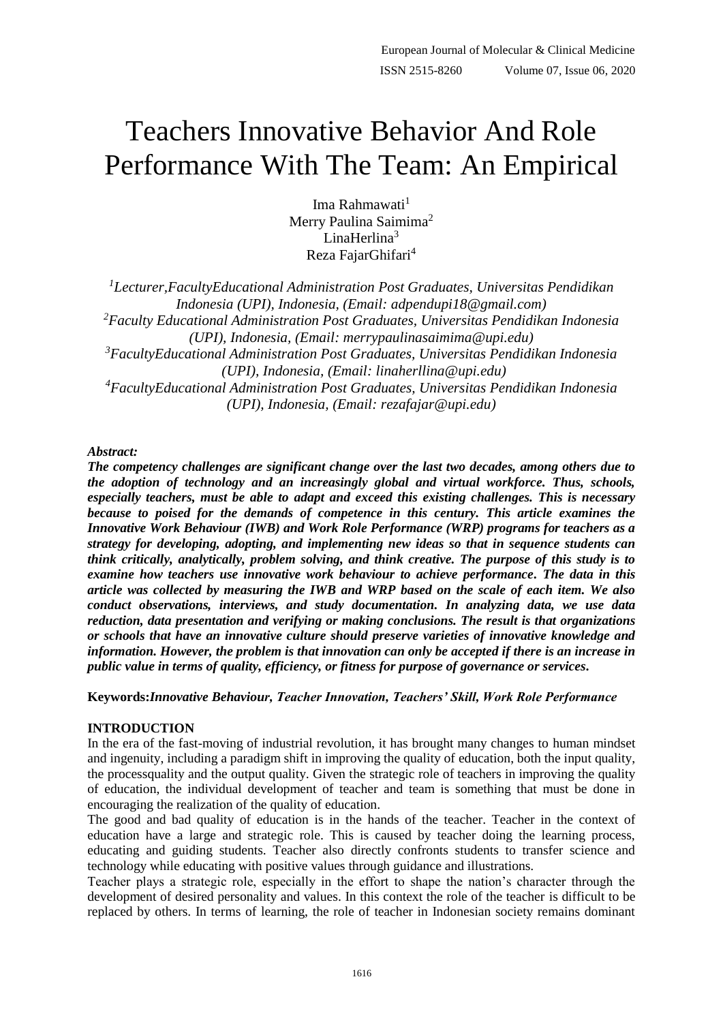# Teachers Innovative Behavior And Role Performance With The Team: An Empirical

Ima Rahmawati<sup>1</sup> Merry Paulina Saimima<sup>2</sup> LinaHerlina $3$ Reza FajarGhifari<sup>4</sup>

*<sup>1</sup>Lecturer,FacultyEducational Administration Post Graduates, Universitas Pendidikan Indonesia (UPI), Indonesia, (Email: adpendupi18@gmail.com) <sup>2</sup>Faculty Educational Administration Post Graduates, Universitas Pendidikan Indonesia (UPI), Indonesia, (Email: merrypaulinasaimima@upi.edu) <sup>3</sup>FacultyEducational Administration Post Graduates, Universitas Pendidikan Indonesia (UPI), Indonesia, (Email: linaherllina@upi.edu) <sup>4</sup>FacultyEducational Administration Post Graduates, Universitas Pendidikan Indonesia (UPI), Indonesia, (Email: rezafajar@upi.edu)*

## *Abstract:*

*The competency challenges are significant change over the last two decades, among others due to the adoption of technology and an increasingly global and virtual workforce. Thus, schools, especially teachers, must be able to adapt and exceed this existing challenges. This is necessary because to poised for the demands of competence in this century. This article examines the Innovative Work Behaviour (IWB) and Work Role Performance (WRP) programs for teachers as a strategy for developing, adopting, and implementing new ideas so that in sequence students can think critically, analytically, problem solving, and think creative. The purpose of this study is to examine how teachers use innovative work behaviour to achieve performance. The data in this article was collected by measuring the IWB and WRP based on the scale of each item. We also conduct observations, interviews, and study documentation. In analyzing data, we use data reduction, data presentation and verifying or making conclusions. The result is that organizations or schools that have an innovative culture should preserve varieties of innovative knowledge and information. However, the problem is that innovation can only be accepted if there is an increase in public value in terms of quality, efficiency, or fitness for purpose of governance or services.*

**Keywords:***Innovative Behaviour, Teacher Innovation, Teachers' Skill, Work Role Performance*

## **INTRODUCTION**

In the era of the fast-moving of industrial revolution, it has brought many changes to human mindset and ingenuity, including a paradigm shift in improving the quality of education, both the input quality, the processquality and the output quality. Given the strategic role of teachers in improving the quality of education, the individual development of teacher and team is something that must be done in encouraging the realization of the quality of education.

The good and bad quality of education is in the hands of the teacher. Teacher in the context of education have a large and strategic role. This is caused by teacher doing the learning process, educating and guiding students. Teacher also directly confronts students to transfer science and technology while educating with positive values through guidance and illustrations.

Teacher plays a strategic role, especially in the effort to shape the nation's character through the development of desired personality and values. In this context the role of the teacher is difficult to be replaced by others. In terms of learning, the role of teacher in Indonesian society remains dominant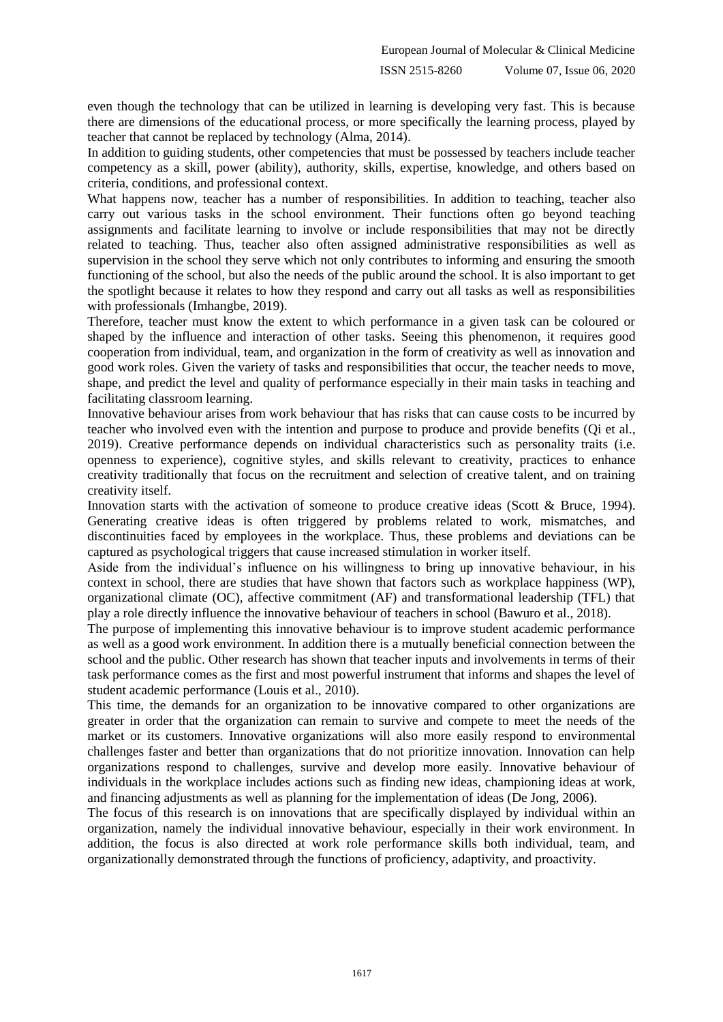even though the technology that can be utilized in learning is developing very fast. This is because there are dimensions of the educational process, or more specifically the learning process, played by teacher that cannot be replaced by technology (Alma, 2014).

In addition to guiding students, other competencies that must be possessed by teachers include teacher competency as a skill, power (ability), authority, skills, expertise, knowledge, and others based on criteria, conditions, and professional context.

What happens now, teacher has a number of responsibilities. In addition to teaching, teacher also carry out various tasks in the school environment. Their functions often go beyond teaching assignments and facilitate learning to involve or include responsibilities that may not be directly related to teaching. Thus, teacher also often assigned administrative responsibilities as well as supervision in the school they serve which not only contributes to informing and ensuring the smooth functioning of the school, but also the needs of the public around the school. It is also important to get the spotlight because it relates to how they respond and carry out all tasks as well as responsibilities with professionals (Imhangbe, 2019).

Therefore, teacher must know the extent to which performance in a given task can be coloured or shaped by the influence and interaction of other tasks. Seeing this phenomenon, it requires good cooperation from individual, team, and organization in the form of creativity as well as innovation and good work roles. Given the variety of tasks and responsibilities that occur, the teacher needs to move, shape, and predict the level and quality of performance especially in their main tasks in teaching and facilitating classroom learning.

Innovative behaviour arises from work behaviour that has risks that can cause costs to be incurred by teacher who involved even with the intention and purpose to produce and provide benefits (Qi et al., 2019). Creative performance depends on individual characteristics such as personality traits (i.e. openness to experience), cognitive styles, and skills relevant to creativity, practices to enhance creativity traditionally that focus on the recruitment and selection of creative talent, and on training creativity itself.

Innovation starts with the activation of someone to produce creative ideas (Scott & Bruce, 1994). Generating creative ideas is often triggered by problems related to work, mismatches, and discontinuities faced by employees in the workplace. Thus, these problems and deviations can be captured as psychological triggers that cause increased stimulation in worker itself.

Aside from the individual's influence on his willingness to bring up innovative behaviour, in his context in school, there are studies that have shown that factors such as workplace happiness (WP), organizational climate (OC), affective commitment (AF) and transformational leadership (TFL) that play a role directly influence the innovative behaviour of teachers in school (Bawuro et al., 2018).

The purpose of implementing this innovative behaviour is to improve student academic performance as well as a good work environment. In addition there is a mutually beneficial connection between the school and the public. Other research has shown that teacher inputs and involvements in terms of their task performance comes as the first and most powerful instrument that informs and shapes the level of student academic performance (Louis et al., 2010).

This time, the demands for an organization to be innovative compared to other organizations are greater in order that the organization can remain to survive and compete to meet the needs of the market or its customers. Innovative organizations will also more easily respond to environmental challenges faster and better than organizations that do not prioritize innovation. Innovation can help organizations respond to challenges, survive and develop more easily. Innovative behaviour of individuals in the workplace includes actions such as finding new ideas, championing ideas at work, and financing adjustments as well as planning for the implementation of ideas (De Jong, 2006).

The focus of this research is on innovations that are specifically displayed by individual within an organization, namely the individual innovative behaviour, especially in their work environment. In addition, the focus is also directed at work role performance skills both individual, team, and organizationally demonstrated through the functions of proficiency, adaptivity, and proactivity.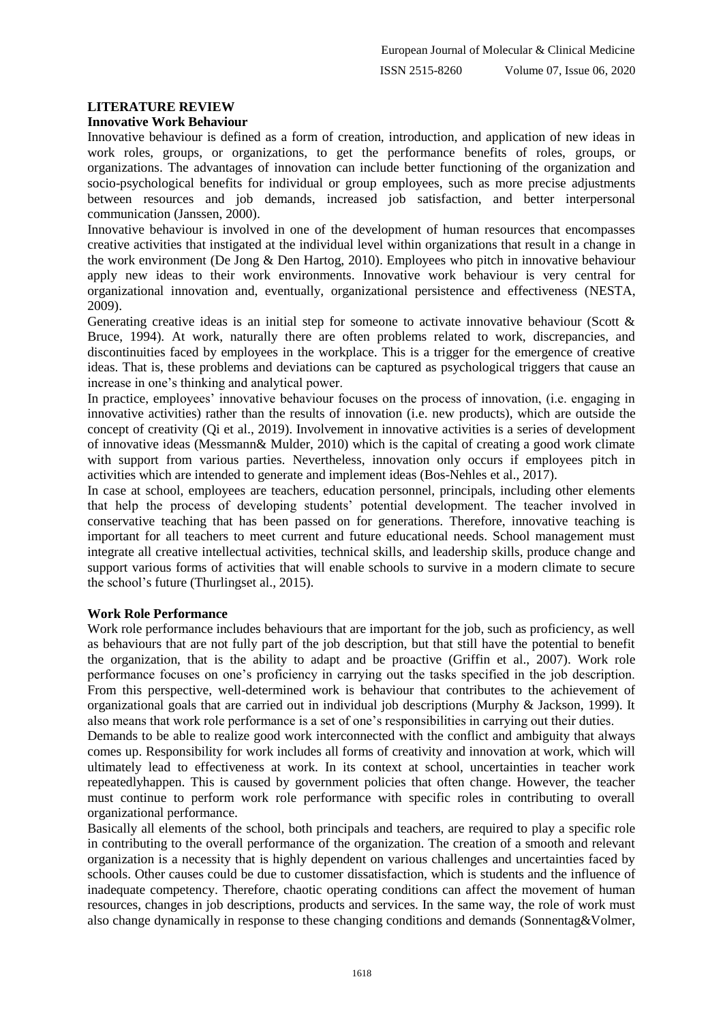## **LITERATURE REVIEW**

### **Innovative Work Behaviour**

Innovative behaviour is defined as a form of creation, introduction, and application of new ideas in work roles, groups, or organizations, to get the performance benefits of roles, groups, or organizations. The advantages of innovation can include better functioning of the organization and socio-psychological benefits for individual or group employees, such as more precise adjustments between resources and job demands, increased job satisfaction, and better interpersonal communication (Janssen, 2000).

Innovative behaviour is involved in one of the development of human resources that encompasses creative activities that instigated at the individual level within organizations that result in a change in the work environment (De Jong & Den Hartog, 2010). Employees who pitch in innovative behaviour apply new ideas to their work environments. Innovative work behaviour is very central for organizational innovation and, eventually, organizational persistence and effectiveness (NESTA, 2009).

Generating creative ideas is an initial step for someone to activate innovative behaviour (Scott & Bruce, 1994). At work, naturally there are often problems related to work, discrepancies, and discontinuities faced by employees in the workplace. This is a trigger for the emergence of creative ideas. That is, these problems and deviations can be captured as psychological triggers that cause an increase in one's thinking and analytical power.

In practice, employees' innovative behaviour focuses on the process of innovation, (i.e. engaging in innovative activities) rather than the results of innovation (i.e. new products), which are outside the concept of creativity (Qi et al., 2019). Involvement in innovative activities is a series of development of innovative ideas (Messmann& Mulder, 2010) which is the capital of creating a good work climate with support from various parties. Nevertheless, innovation only occurs if employees pitch in activities which are intended to generate and implement ideas (Bos-Nehles et al., 2017).

In case at school, employees are teachers, education personnel, principals, including other elements that help the process of developing students' potential development. The teacher involved in conservative teaching that has been passed on for generations. Therefore, innovative teaching is important for all teachers to meet current and future educational needs. School management must integrate all creative intellectual activities, technical skills, and leadership skills, produce change and support various forms of activities that will enable schools to survive in a modern climate to secure the school's future (Thurlingset al., 2015).

#### **Work Role Performance**

Work role performance includes behaviours that are important for the job, such as proficiency, as well as behaviours that are not fully part of the job description, but that still have the potential to benefit the organization, that is the ability to adapt and be proactive (Griffin et al., 2007). Work role performance focuses on one's proficiency in carrying out the tasks specified in the job description. From this perspective, well-determined work is behaviour that contributes to the achievement of organizational goals that are carried out in individual job descriptions (Murphy & Jackson, 1999). It also means that work role performance is a set of one's responsibilities in carrying out their duties.

Demands to be able to realize good work interconnected with the conflict and ambiguity that always comes up. Responsibility for work includes all forms of creativity and innovation at work, which will ultimately lead to effectiveness at work. In its context at school, uncertainties in teacher work repeatedlyhappen. This is caused by government policies that often change. However, the teacher must continue to perform work role performance with specific roles in contributing to overall organizational performance.

Basically all elements of the school, both principals and teachers, are required to play a specific role in contributing to the overall performance of the organization. The creation of a smooth and relevant organization is a necessity that is highly dependent on various challenges and uncertainties faced by schools. Other causes could be due to customer dissatisfaction, which is students and the influence of inadequate competency. Therefore, chaotic operating conditions can affect the movement of human resources, changes in job descriptions, products and services. In the same way, the role of work must also change dynamically in response to these changing conditions and demands (Sonnentag&Volmer,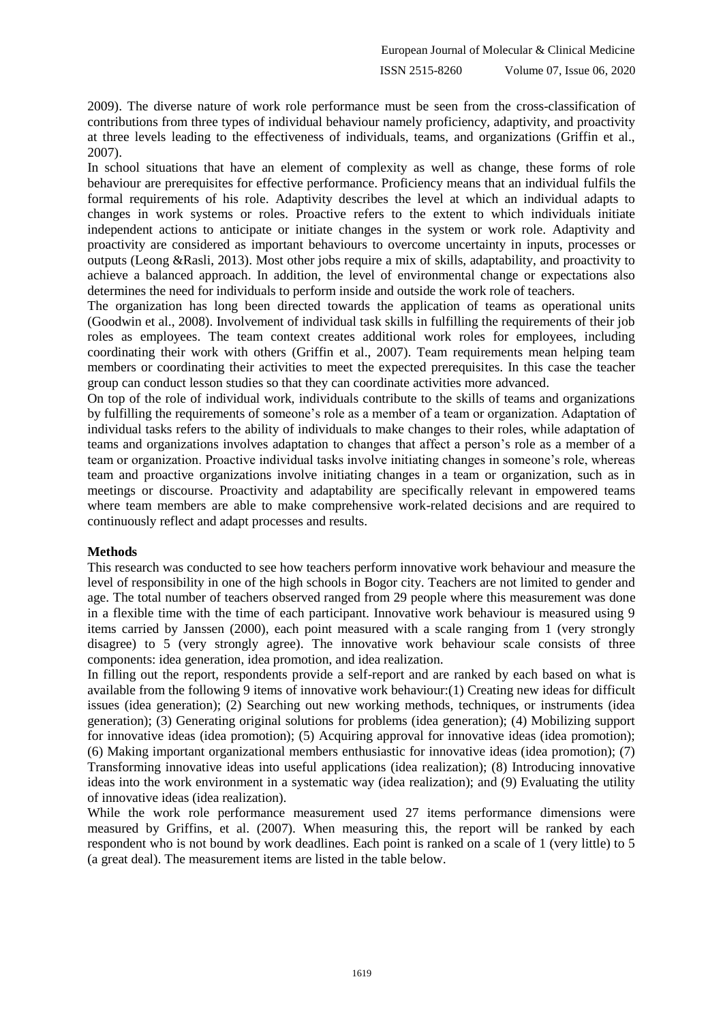2009). The diverse nature of work role performance must be seen from the cross-classification of contributions from three types of individual behaviour namely proficiency, adaptivity, and proactivity at three levels leading to the effectiveness of individuals, teams, and organizations (Griffin et al., 2007).

In school situations that have an element of complexity as well as change, these forms of role behaviour are prerequisites for effective performance. Proficiency means that an individual fulfils the formal requirements of his role. Adaptivity describes the level at which an individual adapts to changes in work systems or roles. Proactive refers to the extent to which individuals initiate independent actions to anticipate or initiate changes in the system or work role. Adaptivity and proactivity are considered as important behaviours to overcome uncertainty in inputs, processes or outputs (Leong &Rasli, 2013). Most other jobs require a mix of skills, adaptability, and proactivity to achieve a balanced approach. In addition, the level of environmental change or expectations also determines the need for individuals to perform inside and outside the work role of teachers.

The organization has long been directed towards the application of teams as operational units (Goodwin et al., 2008). Involvement of individual task skills in fulfilling the requirements of their job roles as employees. The team context creates additional work roles for employees, including coordinating their work with others (Griffin et al., 2007). Team requirements mean helping team members or coordinating their activities to meet the expected prerequisites. In this case the teacher group can conduct lesson studies so that they can coordinate activities more advanced.

On top of the role of individual work, individuals contribute to the skills of teams and organizations by fulfilling the requirements of someone's role as a member of a team or organization. Adaptation of individual tasks refers to the ability of individuals to make changes to their roles, while adaptation of teams and organizations involves adaptation to changes that affect a person's role as a member of a team or organization. Proactive individual tasks involve initiating changes in someone's role, whereas team and proactive organizations involve initiating changes in a team or organization, such as in meetings or discourse. Proactivity and adaptability are specifically relevant in empowered teams where team members are able to make comprehensive work-related decisions and are required to continuously reflect and adapt processes and results.

#### **Methods**

This research was conducted to see how teachers perform innovative work behaviour and measure the level of responsibility in one of the high schools in Bogor city. Teachers are not limited to gender and age. The total number of teachers observed ranged from 29 people where this measurement was done in a flexible time with the time of each participant. Innovative work behaviour is measured using 9 items carried by Janssen (2000), each point measured with a scale ranging from 1 (very strongly disagree) to 5 (very strongly agree). The innovative work behaviour scale consists of three components: idea generation, idea promotion, and idea realization.

In filling out the report, respondents provide a self-report and are ranked by each based on what is available from the following 9 items of innovative work behaviour:(1) Creating new ideas for difficult issues (idea generation); (2) Searching out new working methods, techniques, or instruments (idea generation); (3) Generating original solutions for problems (idea generation); (4) Mobilizing support for innovative ideas (idea promotion); (5) Acquiring approval for innovative ideas (idea promotion); (6) Making important organizational members enthusiastic for innovative ideas (idea promotion); (7) Transforming innovative ideas into useful applications (idea realization); (8) Introducing innovative ideas into the work environment in a systematic way (idea realization); and (9) Evaluating the utility of innovative ideas (idea realization).

While the work role performance measurement used 27 items performance dimensions were measured by Griffins, et al. (2007). When measuring this, the report will be ranked by each respondent who is not bound by work deadlines. Each point is ranked on a scale of 1 (very little) to 5 (a great deal). The measurement items are listed in the table below.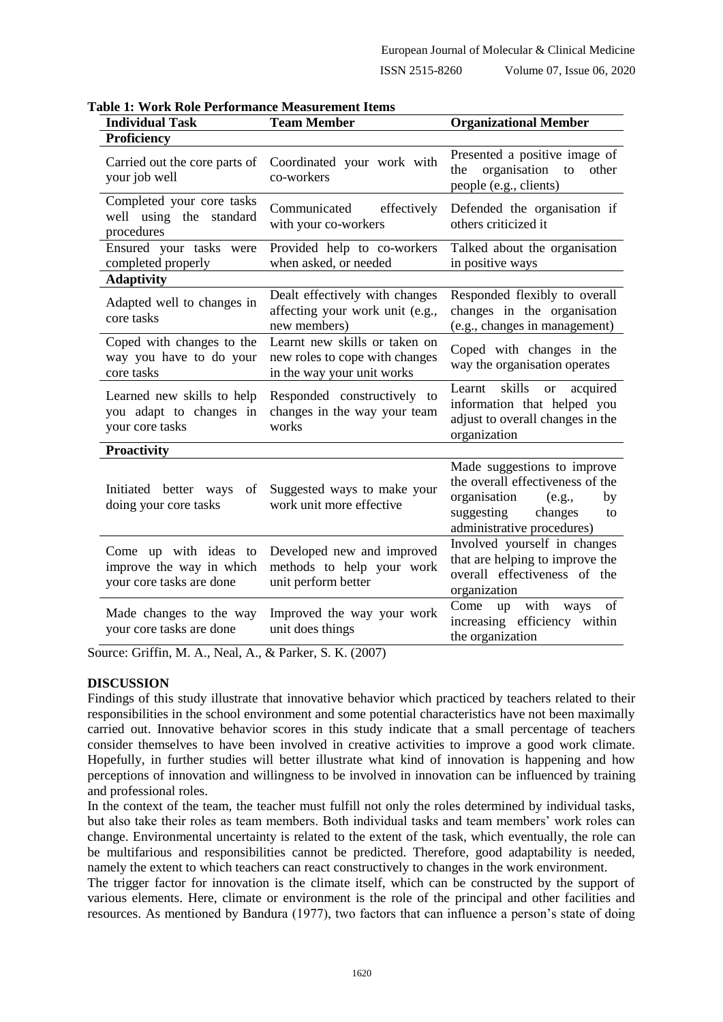#### ISSN 2515-8260 Volume 07, Issue 06, 2020

| <b>Individual Task</b>                                                        | <b>Team Member</b>                                                                            | <b>Organizational Member</b>                                                                                                                                 |
|-------------------------------------------------------------------------------|-----------------------------------------------------------------------------------------------|--------------------------------------------------------------------------------------------------------------------------------------------------------------|
| Proficiency                                                                   |                                                                                               |                                                                                                                                                              |
| Carried out the core parts of<br>your job well                                | Coordinated your work with<br>co-workers                                                      | Presented a positive image of<br>organisation<br>the<br>other<br>to<br>people (e.g., clients)                                                                |
| Completed your core tasks<br>well using the standard<br>procedures            | Communicated<br>effectively<br>with your co-workers                                           | Defended the organisation if<br>others criticized it                                                                                                         |
| Ensured your tasks were<br>completed properly                                 | Provided help to co-workers<br>when asked, or needed                                          | Talked about the organisation<br>in positive ways                                                                                                            |
| <b>Adaptivity</b>                                                             |                                                                                               |                                                                                                                                                              |
| Adapted well to changes in<br>core tasks                                      | Dealt effectively with changes<br>affecting your work unit (e.g.,<br>new members)             | Responded flexibly to overall<br>changes in the organisation<br>(e.g., changes in management)                                                                |
| Coped with changes to the<br>way you have to do your<br>core tasks            | Learnt new skills or taken on<br>new roles to cope with changes<br>in the way your unit works | Coped with changes in the<br>way the organisation operates                                                                                                   |
| Learned new skills to help<br>you adapt to changes in<br>your core tasks      | Responded constructively to<br>changes in the way your team<br>works                          | skills<br>Learnt<br>acquired<br><sub>or</sub><br>information that helped you<br>adjust to overall changes in the<br>organization                             |
| <b>Proactivity</b>                                                            |                                                                                               |                                                                                                                                                              |
| Initiated better ways<br>of<br>doing your core tasks                          | Suggested ways to make your<br>work unit more effective                                       | Made suggestions to improve<br>the overall effectiveness of the<br>organisation<br>(e.g.,<br>by<br>suggesting<br>changes<br>to<br>administrative procedures) |
| Come up with ideas to<br>improve the way in which<br>your core tasks are done | Developed new and improved<br>methods to help your work<br>unit perform better                | Involved yourself in changes<br>that are helping to improve the<br>overall effectiveness of the<br>organization                                              |
| Made changes to the way<br>your core tasks are done                           | Improved the way your work<br>unit does things                                                | with<br>of<br>Come<br>up<br>ways<br>increasing efficiency within<br>the organization                                                                         |

**Table 1: Work Role Performance Measurement Items**

Source: Griffin, M. A., Neal, A., & Parker, S. K. (2007)

#### **DISCUSSION**

Findings of this study illustrate that innovative behavior which practiced by teachers related to their responsibilities in the school environment and some potential characteristics have not been maximally carried out. Innovative behavior scores in this study indicate that a small percentage of teachers consider themselves to have been involved in creative activities to improve a good work climate. Hopefully, in further studies will better illustrate what kind of innovation is happening and how perceptions of innovation and willingness to be involved in innovation can be influenced by training and professional roles.

In the context of the team, the teacher must fulfill not only the roles determined by individual tasks, but also take their roles as team members. Both individual tasks and team members' work roles can change. Environmental uncertainty is related to the extent of the task, which eventually, the role can be multifarious and responsibilities cannot be predicted. Therefore, good adaptability is needed, namely the extent to which teachers can react constructively to changes in the work environment.

The trigger factor for innovation is the climate itself, which can be constructed by the support of various elements. Here, climate or environment is the role of the principal and other facilities and resources. As mentioned by Bandura (1977), two factors that can influence a person's state of doing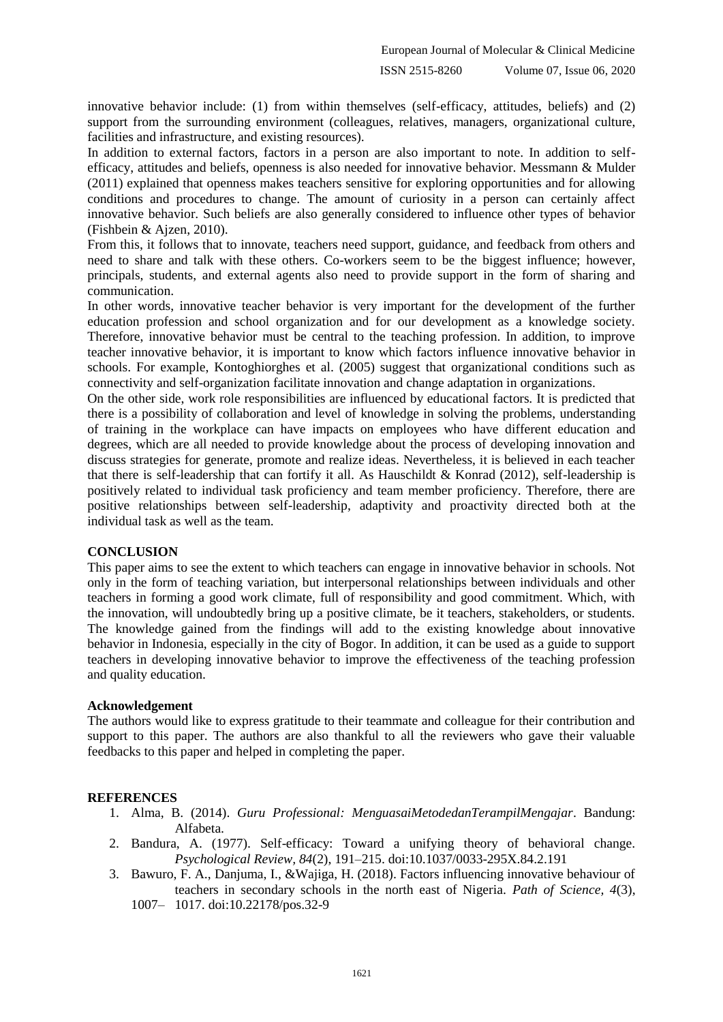innovative behavior include: (1) from within themselves (self-efficacy, attitudes, beliefs) and (2) support from the surrounding environment (colleagues, relatives, managers, organizational culture, facilities and infrastructure, and existing resources).

In addition to external factors, factors in a person are also important to note. In addition to selfefficacy, attitudes and beliefs, openness is also needed for innovative behavior. Messmann & Mulder (2011) explained that openness makes teachers sensitive for exploring opportunities and for allowing conditions and procedures to change. The amount of curiosity in a person can certainly affect innovative behavior. Such beliefs are also generally considered to influence other types of behavior (Fishbein & Ajzen, 2010).

From this, it follows that to innovate, teachers need support, guidance, and feedback from others and need to share and talk with these others. Co-workers seem to be the biggest influence; however, principals, students, and external agents also need to provide support in the form of sharing and communication.

In other words, innovative teacher behavior is very important for the development of the further education profession and school organization and for our development as a knowledge society. Therefore, innovative behavior must be central to the teaching profession. In addition, to improve teacher innovative behavior, it is important to know which factors influence innovative behavior in schools. For example, Kontoghiorghes et al. (2005) suggest that organizational conditions such as connectivity and self-organization facilitate innovation and change adaptation in organizations.

On the other side, work role responsibilities are influenced by educational factors. It is predicted that there is a possibility of collaboration and level of knowledge in solving the problems, understanding of training in the workplace can have impacts on employees who have different education and degrees, which are all needed to provide knowledge about the process of developing innovation and discuss strategies for generate, promote and realize ideas. Nevertheless, it is believed in each teacher that there is self-leadership that can fortify it all. As Hauschildt & Konrad (2012), self-leadership is positively related to individual task proficiency and team member proficiency. Therefore, there are positive relationships between self-leadership, adaptivity and proactivity directed both at the individual task as well as the team.

#### **CONCLUSION**

This paper aims to see the extent to which teachers can engage in innovative behavior in schools. Not only in the form of teaching variation, but interpersonal relationships between individuals and other teachers in forming a good work climate, full of responsibility and good commitment. Which, with the innovation, will undoubtedly bring up a positive climate, be it teachers, stakeholders, or students. The knowledge gained from the findings will add to the existing knowledge about innovative behavior in Indonesia, especially in the city of Bogor. In addition, it can be used as a guide to support teachers in developing innovative behavior to improve the effectiveness of the teaching profession and quality education.

#### **Acknowledgement**

The authors would like to express gratitude to their teammate and colleague for their contribution and support to this paper. The authors are also thankful to all the reviewers who gave their valuable feedbacks to this paper and helped in completing the paper.

## **REFERENCES**

- 1. Alma, B. (2014). *Guru Professional: MenguasaiMetodedanTerampilMengajar*. Bandung: Alfabeta.
- 2. Bandura, A. (1977). Self-efficacy: Toward a unifying theory of behavioral change. *Psychological Review, 84*(2), 191–215. doi:10.1037/0033-295X.84.2.191
- 3. Bawuro, F. A., Danjuma, I., &Wajiga, H. (2018). Factors influencing innovative behaviour of teachers in secondary schools in the north east of Nigeria. *Path of Science, 4*(3), 1007– 1017. doi:10.22178/pos.32-9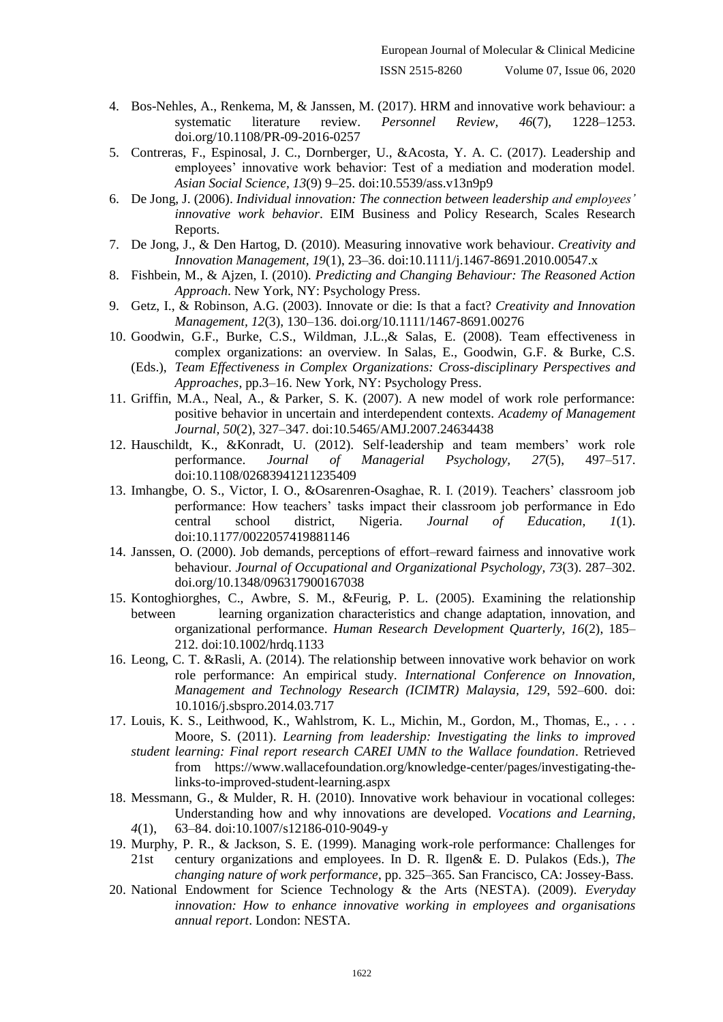- 4. Bos-Nehles, A., Renkema, M, & Janssen, M. (2017). HRM and innovative work behaviour: a systematic literature review. *Personnel Review, 46*(7), 1228–1253. doi.org/10.1108/PR-09-2016-0257
- 5. Contreras, F., Espinosal, J. C., Dornberger, U., &Acosta, Y. A. C. (2017). Leadership and employees' innovative work behavior: Test of a mediation and moderation model. *Asian Social Science, 13*(9) 9–25. doi:10.5539/ass.v13n9p9
- 6. De Jong, J. (2006). *Individual innovation: The connection between leadership and employees' innovative work behavior*. EIM Business and Policy Research, Scales Research Reports.
- 7. De Jong, J., & Den Hartog, D. (2010). Measuring innovative work behaviour. *Creativity and Innovation Management, 19*(1), 23–36. doi:10.1111/j.1467-8691.2010.00547.x
- 8. Fishbein, M., & Ajzen, I. (2010). *Predicting and Changing Behaviour: The Reasoned Action Approach*. New York, NY: Psychology Press.
- 9. Getz, I., & Robinson, A.G. (2003). Innovate or die: Is that a fact? *Creativity and Innovation Management, 12*(3), 130–136. doi.org/10.1111/1467-8691.00276
- 10. Goodwin, G.F., Burke, C.S., Wildman, J.L.,& Salas, E. (2008). Team effectiveness in complex organizations: an overview. In Salas, E., Goodwin, G.F. & Burke, C.S.
	- (Eds.), *Team Effectiveness in Complex Organizations: Cross-disciplinary Perspectives and Approaches*, pp.3–16. New York, NY: Psychology Press.
- 11. Griffin, M.A., Neal, A., & Parker, S. K. (2007). A new model of work role performance: positive behavior in uncertain and interdependent contexts. *Academy of Management Journal, 50*(2), 327–347. doi:10.5465/AMJ.2007.24634438
- 12. Hauschildt, K., &Konradt, U. (2012). Self‐leadership and team members' work role performance. *Journal of Managerial Psychology, 27*(5), 497–517. doi:10.1108/02683941211235409
- 13. Imhangbe, O. S., Victor, I. O., &Osarenren-Osaghae, R. I. (2019). Teachers' classroom job performance: How teachers' tasks impact their classroom job performance in Edo central school district, Nigeria. *Journal of Education, 1*(1). doi:10.1177/0022057419881146
- 14. Janssen, O. (2000). Job demands, perceptions of effort–reward fairness and innovative work behaviour. *Journal of Occupational and Organizational Psychology, 73*(3). 287–302. doi.org/10.1348/096317900167038
- 15. Kontoghiorghes, C., Awbre, S. M., &Feurig, P. L. (2005). Examining the relationship between learning organization characteristics and change adaptation, innovation, and organizational performance. *Human Research Development Quarterly, 16*(2), 185– 212. doi:10.1002/hrdq.1133
- 16. Leong, C. T. &Rasli, A. (2014). The relationship between innovative work behavior on work role performance: An empirical study. *International Conference on Innovation, Management and Technology Research (ICIMTR) Malaysia, 129*, 592–600. doi: 10.1016/j.sbspro.2014.03.717
- 17. Louis, K. S., Leithwood, K., Wahlstrom, K. L., Michin, M., Gordon, M., Thomas, E., . . . Moore, S. (2011). *Learning from leadership: Investigating the links to improved student learning: Final report research CAREI UMN to the Wallace foundation*. Retrieved from https://www.wallacefoundation.org/knowledge-center/pages/investigating-thelinks-to-improved-student-learning.aspx
- 18. Messmann, G., & Mulder, R. H. (2010). Innovative work behaviour in vocational colleges: Understanding how and why innovations are developed. *Vocations and Learning, 4*(1), 63–84. doi:10.1007/s12186-010-9049-y
- 19. Murphy, P. R., & Jackson, S. E. (1999). Managing work-role performance: Challenges for 21st century organizations and employees. In D. R. Ilgen& E. D. Pulakos (Eds.), *The changing nature of work performance*, pp. 325–365. San Francisco, CA: Jossey-Bass.
- 20. National Endowment for Science Technology & the Arts (NESTA). (2009). *Everyday innovation: How to enhance innovative working in employees and organisations annual report*. London: NESTA.